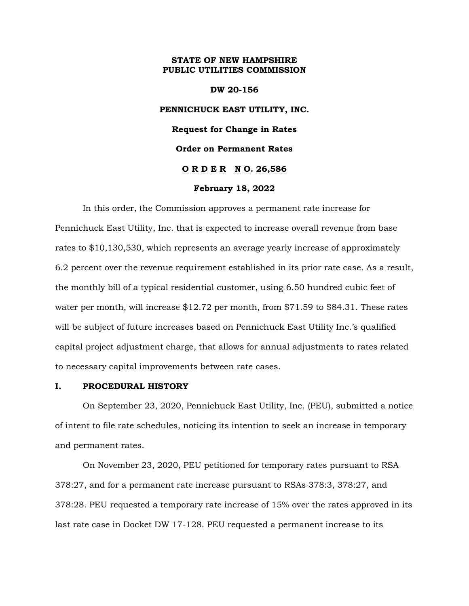#### **STATE OF NEW HAMPSHIRE PUBLIC UTILITIES COMMISSION**

# **DW 20-156 PENNICHUCK EAST UTILITY, INC. Request for Change in Rates Order on Permanent Rates O R D E R N O. 26,586**

#### **February 18, 2022**

In this order, the Commission approves a permanent rate increase for Pennichuck East Utility, Inc. that is expected to increase overall revenue from base rates to \$10,130,530, which represents an average yearly increase of approximately 6.2 percent over the revenue requirement established in its prior rate case. As a result, the monthly bill of a typical residential customer, using 6.50 hundred cubic feet of water per month, will increase \$12.72 per month, from \$71.59 to \$84.31. These rates will be subject of future increases based on Pennichuck East Utility Inc.'s qualified capital project adjustment charge, that allows for annual adjustments to rates related to necessary capital improvements between rate cases.

#### **I. PROCEDURAL HISTORY**

On September 23, 2020, Pennichuck East Utility, Inc. (PEU), submitted a notice of intent to file rate schedules, noticing its intention to seek an increase in temporary and permanent rates.

On November 23, 2020, PEU petitioned for temporary rates pursuant to RSA 378:27, and for a permanent rate increase pursuant to RSAs 378:3, 378:27, and 378:28. PEU requested a temporary rate increase of 15% over the rates approved in its last rate case in Docket DW 17-128. PEU requested a permanent increase to its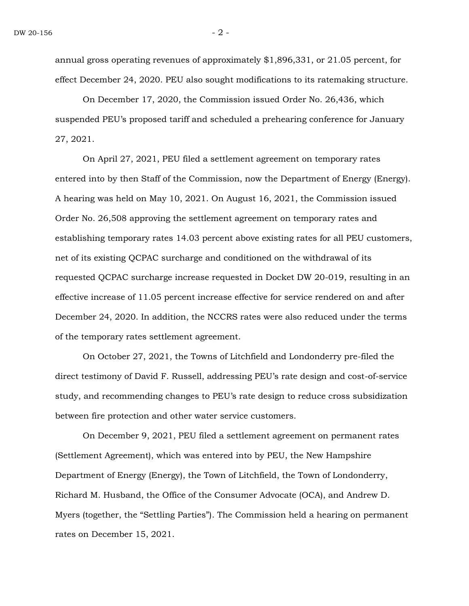annual gross operating revenues of approximately \$1,896,331, or 21.05 percent, for effect December 24, 2020. PEU also sought modifications to its ratemaking structure.

On December 17, 2020, the Commission issued Order No. 26,436, which suspended PEU's proposed tariff and scheduled a prehearing conference for January 27, 2021.

On April 27, 2021, PEU filed a settlement agreement on temporary rates entered into by then Staff of the Commission, now the Department of Energy (Energy). A hearing was held on May 10, 2021. On August 16, 2021, the Commission issued Order No. 26,508 approving the settlement agreement on temporary rates and establishing temporary rates 14.03 percent above existing rates for all PEU customers, net of its existing QCPAC surcharge and conditioned on the withdrawal of its requested QCPAC surcharge increase requested in Docket DW 20-019, resulting in an effective increase of 11.05 percent increase effective for service rendered on and after December 24, 2020. In addition, the NCCRS rates were also reduced under the terms of the temporary rates settlement agreement.

On October 27, 2021, the Towns of Litchfield and Londonderry pre-filed the direct testimony of David F. Russell, addressing PEU's rate design and cost-of-service study, and recommending changes to PEU's rate design to reduce cross subsidization between fire protection and other water service customers.

On December 9, 2021, PEU filed a settlement agreement on permanent rates (Settlement Agreement), which was entered into by PEU, the New Hampshire Department of Energy (Energy), the Town of Litchfield, the Town of Londonderry, Richard M. Husband, the Office of the Consumer Advocate (OCA), and Andrew D. Myers (together, the "Settling Parties"). The Commission held a hearing on permanent rates on December 15, 2021.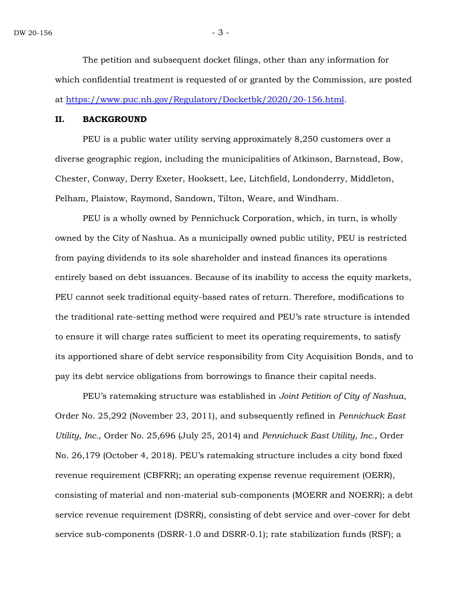The petition and subsequent docket filings, other than any information for which confidential treatment is requested of or granted by the Commission, are posted at [https://www.puc.nh.gov/Regulatory/Docketbk/2020/20-156.html.](https://www.puc.nh.gov/Regulatory/Docketbk/2020/20-156.html)

#### **II. BACKGROUND**

PEU is a public water utility serving approximately 8,250 customers over a diverse geographic region, including the municipalities of Atkinson, Barnstead, Bow, Chester, Conway, Derry Exeter, Hooksett, Lee, Litchfield, Londonderry, Middleton, Pelham, Plaistow, Raymond, Sandown, Tilton, Weare, and Windham.

PEU is a wholly owned by Pennichuck Corporation, which, in turn, is wholly owned by the City of Nashua. As a municipally owned public utility, PEU is restricted from paying dividends to its sole shareholder and instead finances its operations entirely based on debt issuances. Because of its inability to access the equity markets, PEU cannot seek traditional equity-based rates of return. Therefore, modifications to the traditional rate-setting method were required and PEU's rate structure is intended to ensure it will charge rates sufficient to meet its operating requirements, to satisfy its apportioned share of debt service responsibility from City Acquisition Bonds, and to pay its debt service obligations from borrowings to finance their capital needs.

PEU's ratemaking structure was established in *Joint Petition of City of Nashua*, Order No. 25,292 (November 23, 2011), and subsequently refined in *Pennichuck East Utility, Inc.*, Order No. 25,696 (July 25, 2014) and *Pennichuck East Utility, Inc.*, Order No. 26,179 (October 4, 2018). PEU's ratemaking structure includes a city bond fixed revenue requirement (CBFRR); an operating expense revenue requirement (OERR), consisting of material and non-material sub-components (MOERR and NOERR); a debt service revenue requirement (DSRR), consisting of debt service and over-cover for debt service sub-components (DSRR-1.0 and DSRR-0.1); rate stabilization funds (RSF); a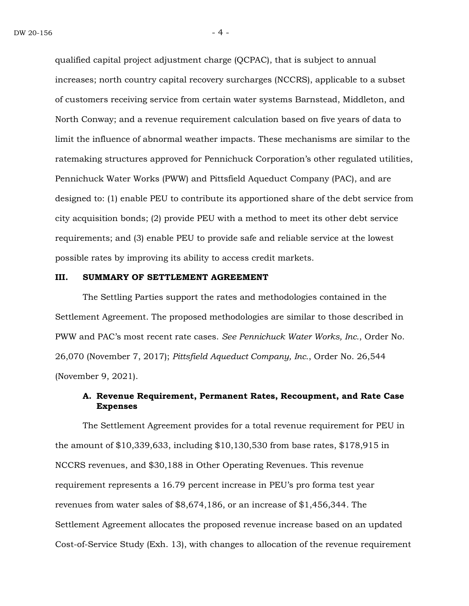qualified capital project adjustment charge (QCPAC), that is subject to annual increases; north country capital recovery surcharges (NCCRS), applicable to a subset of customers receiving service from certain water systems Barnstead, Middleton, and North Conway; and a revenue requirement calculation based on five years of data to limit the influence of abnormal weather impacts. These mechanisms are similar to the ratemaking structures approved for Pennichuck Corporation's other regulated utilities, Pennichuck Water Works (PWW) and Pittsfield Aqueduct Company (PAC), and are designed to: (1) enable PEU to contribute its apportioned share of the debt service from city acquisition bonds; (2) provide PEU with a method to meet its other debt service requirements; and (3) enable PEU to provide safe and reliable service at the lowest possible rates by improving its ability to access credit markets.

#### **III. SUMMARY OF SETTLEMENT AGREEMENT**

The Settling Parties support the rates and methodologies contained in the Settlement Agreement. The proposed methodologies are similar to those described in PWW and PAC's most recent rate cases. *See Pennichuck Water Works, Inc.*, Order No. 26,070 (November 7, 2017); *Pittsfield Aqueduct Company, Inc.*, Order No. 26,544 (November 9, 2021).

#### **A. Revenue Requirement, Permanent Rates, Recoupment, and Rate Case Expenses**

The Settlement Agreement provides for a total revenue requirement for PEU in the amount of \$10,339,633, including \$10,130,530 from base rates, \$178,915 in NCCRS revenues, and \$30,188 in Other Operating Revenues. This revenue requirement represents a 16.79 percent increase in PEU's pro forma test year revenues from water sales of \$8,674,186, or an increase of \$1,456,344. The Settlement Agreement allocates the proposed revenue increase based on an updated Cost-of-Service Study (Exh. 13), with changes to allocation of the revenue requirement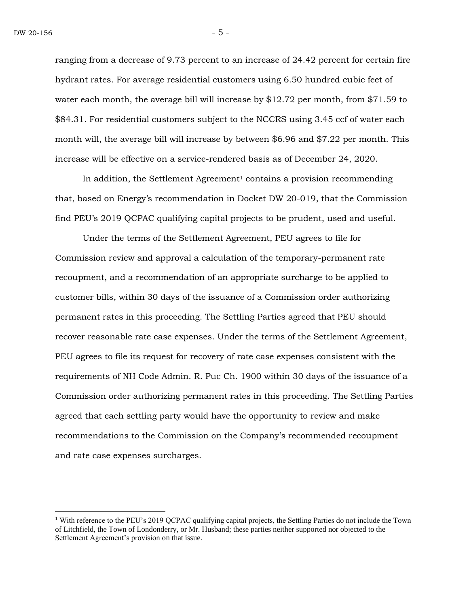ranging from a decrease of 9.73 percent to an increase of 24.42 percent for certain fire hydrant rates. For average residential customers using 6.50 hundred cubic feet of water each month, the average bill will increase by \$12.72 per month, from \$71.59 to \$84.31. For residential customers subject to the NCCRS using 3.45 ccf of water each month will, the average bill will increase by between \$6.96 and \$7.22 per month. This increase will be effective on a service-rendered basis as of December 24, 2020.

In addition, the Settlement Agreement<sup>1</sup> contains a provision recommending that, based on Energy's recommendation in Docket DW 20-019, that the Commission find PEU's 2019 QCPAC qualifying capital projects to be prudent, used and useful.

Under the terms of the Settlement Agreement, PEU agrees to file for Commission review and approval a calculation of the temporary-permanent rate recoupment, and a recommendation of an appropriate surcharge to be applied to customer bills, within 30 days of the issuance of a Commission order authorizing permanent rates in this proceeding. The Settling Parties agreed that PEU should recover reasonable rate case expenses. Under the terms of the Settlement Agreement, PEU agrees to file its request for recovery of rate case expenses consistent with the requirements of NH Code Admin. R. Puc Ch. 1900 within 30 days of the issuance of a Commission order authorizing permanent rates in this proceeding. The Settling Parties agreed that each settling party would have the opportunity to review and make recommendations to the Commission on the Company's recommended recoupment and rate case expenses surcharges.

<sup>&</sup>lt;sup>1</sup> With reference to the PEU's 2019 QCPAC qualifying capital projects, the Settling Parties do not include the Town of Litchfield, the Town of Londonderry, or Mr. Husband; these parties neither supported nor objected to the Settlement Agreement's provision on that issue.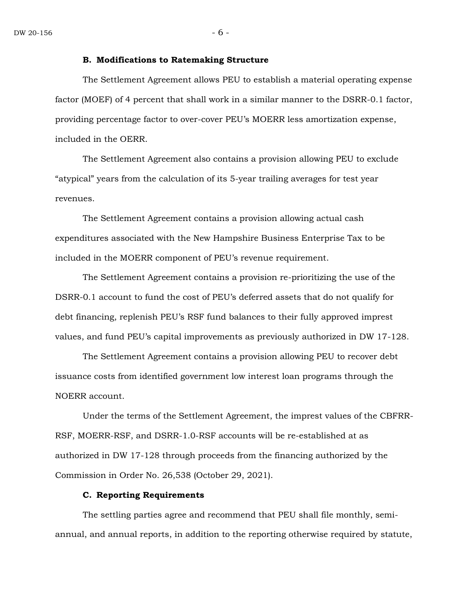#### **B. Modifications to Ratemaking Structure**

The Settlement Agreement allows PEU to establish a material operating expense factor (MOEF) of 4 percent that shall work in a similar manner to the DSRR-0.1 factor, providing percentage factor to over-cover PEU's MOERR less amortization expense, included in the OERR.

The Settlement Agreement also contains a provision allowing PEU to exclude "atypical" years from the calculation of its 5-year trailing averages for test year revenues.

The Settlement Agreement contains a provision allowing actual cash expenditures associated with the New Hampshire Business Enterprise Tax to be included in the MOERR component of PEU's revenue requirement.

The Settlement Agreement contains a provision re-prioritizing the use of the DSRR-0.1 account to fund the cost of PEU's deferred assets that do not qualify for debt financing, replenish PEU's RSF fund balances to their fully approved imprest values, and fund PEU's capital improvements as previously authorized in DW 17-128.

The Settlement Agreement contains a provision allowing PEU to recover debt issuance costs from identified government low interest loan programs through the NOERR account.

Under the terms of the Settlement Agreement, the imprest values of the CBFRR-RSF, MOERR-RSF, and DSRR-1.0-RSF accounts will be re-established at as authorized in DW 17-128 through proceeds from the financing authorized by the Commission in Order No. 26,538 (October 29, 2021).

#### **C. Reporting Requirements**

The settling parties agree and recommend that PEU shall file monthly, semiannual, and annual reports, in addition to the reporting otherwise required by statute,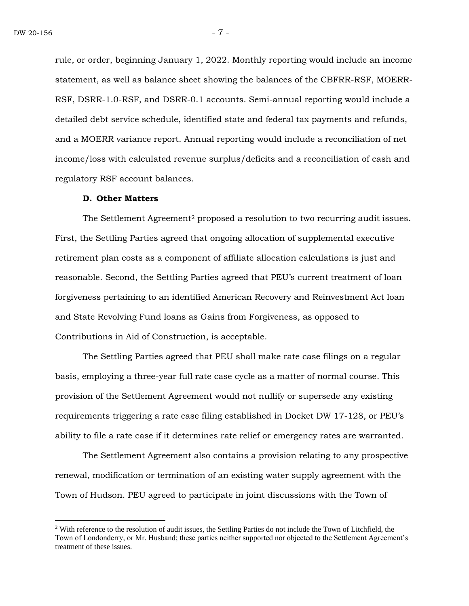rule, or order, beginning January 1, 2022. Monthly reporting would include an income statement, as well as balance sheet showing the balances of the CBFRR-RSF, MOERR-RSF, DSRR-1.0-RSF, and DSRR-0.1 accounts. Semi-annual reporting would include a detailed debt service schedule, identified state and federal tax payments and refunds, and a MOERR variance report. Annual reporting would include a reconciliation of net income/loss with calculated revenue surplus/deficits and a reconciliation of cash and regulatory RSF account balances.

#### **D. Other Matters**

The Settlement Agreement<sup>2</sup> proposed a resolution to two recurring audit issues. First, the Settling Parties agreed that ongoing allocation of supplemental executive retirement plan costs as a component of affiliate allocation calculations is just and reasonable. Second, the Settling Parties agreed that PEU's current treatment of loan forgiveness pertaining to an identified American Recovery and Reinvestment Act loan and State Revolving Fund loans as Gains from Forgiveness, as opposed to Contributions in Aid of Construction, is acceptable.

The Settling Parties agreed that PEU shall make rate case filings on a regular basis, employing a three-year full rate case cycle as a matter of normal course. This provision of the Settlement Agreement would not nullify or supersede any existing requirements triggering a rate case filing established in Docket DW 17-128, or PEU's ability to file a rate case if it determines rate relief or emergency rates are warranted.

The Settlement Agreement also contains a provision relating to any prospective renewal, modification or termination of an existing water supply agreement with the Town of Hudson. PEU agreed to participate in joint discussions with the Town of

<sup>2</sup> With reference to the resolution of audit issues, the Settling Parties do not include the Town of Litchfield, the Town of Londonderry, or Mr. Husband; these parties neither supported nor objected to the Settlement Agreement's treatment of these issues.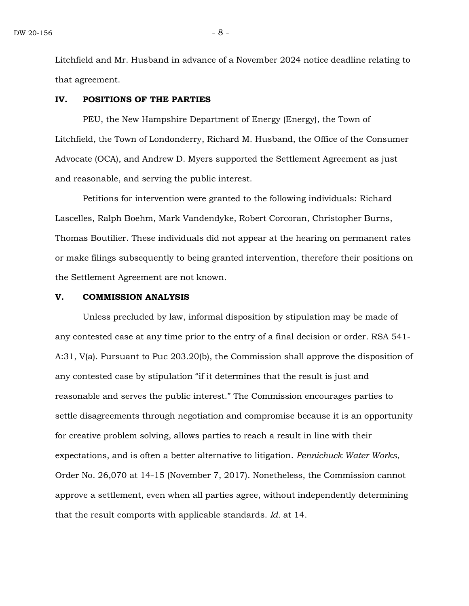Litchfield and Mr. Husband in advance of a November 2024 notice deadline relating to that agreement.

#### **IV. POSITIONS OF THE PARTIES**

PEU, the New Hampshire Department of Energy (Energy), the Town of Litchfield, the Town of Londonderry, Richard M. Husband, the Office of the Consumer Advocate (OCA), and Andrew D. Myers supported the Settlement Agreement as just and reasonable, and serving the public interest.

Petitions for intervention were granted to the following individuals: Richard Lascelles, Ralph Boehm, Mark Vandendyke, Robert Corcoran, Christopher Burns, Thomas Boutilier. These individuals did not appear at the hearing on permanent rates or make filings subsequently to being granted intervention, therefore their positions on the Settlement Agreement are not known.

#### **V. COMMISSION ANALYSIS**

Unless precluded by law, informal disposition by stipulation may be made of any contested case at any time prior to the entry of a final decision or order. RSA 541- A:31, V(a). Pursuant to Puc 203.20(b), the Commission shall approve the disposition of any contested case by stipulation "if it determines that the result is just and reasonable and serves the public interest." The Commission encourages parties to settle disagreements through negotiation and compromise because it is an opportunity for creative problem solving, allows parties to reach a result in line with their expectations, and is often a better alternative to litigation. *Pennichuck Water Works*, Order No. 26,070 at 14-15 (November 7, 2017). Nonetheless, the Commission cannot approve a settlement, even when all parties agree, without independently determining that the result comports with applicable standards. *Id.* at 14.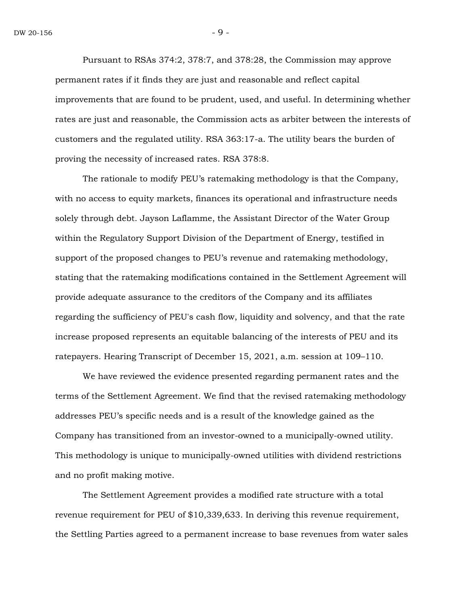Pursuant to RSAs 374:2, 378:7, and 378:28, the Commission may approve permanent rates if it finds they are just and reasonable and reflect capital improvements that are found to be prudent, used, and useful. In determining whether rates are just and reasonable, the Commission acts as arbiter between the interests of customers and the regulated utility. RSA 363:17-a. The utility bears the burden of proving the necessity of increased rates. RSA 378:8.

The rationale to modify PEU's ratemaking methodology is that the Company, with no access to equity markets, finances its operational and infrastructure needs solely through debt. Jayson Laflamme, the Assistant Director of the Water Group within the Regulatory Support Division of the Department of Energy, testified in support of the proposed changes to PEU's revenue and ratemaking methodology, stating that the ratemaking modifications contained in the Settlement Agreement will provide adequate assurance to the creditors of the Company and its affiliates regarding the sufficiency of PEU's cash flow, liquidity and solvency, and that the rate increase proposed represents an equitable balancing of the interests of PEU and its ratepayers. Hearing Transcript of December 15, 2021, a.m. session at 109–110.

We have reviewed the evidence presented regarding permanent rates and the terms of the Settlement Agreement. We find that the revised ratemaking methodology addresses PEU's specific needs and is a result of the knowledge gained as the Company has transitioned from an investor-owned to a municipally-owned utility. This methodology is unique to municipally-owned utilities with dividend restrictions and no profit making motive.

The Settlement Agreement provides a modified rate structure with a total revenue requirement for PEU of \$10,339,633. In deriving this revenue requirement, the Settling Parties agreed to a permanent increase to base revenues from water sales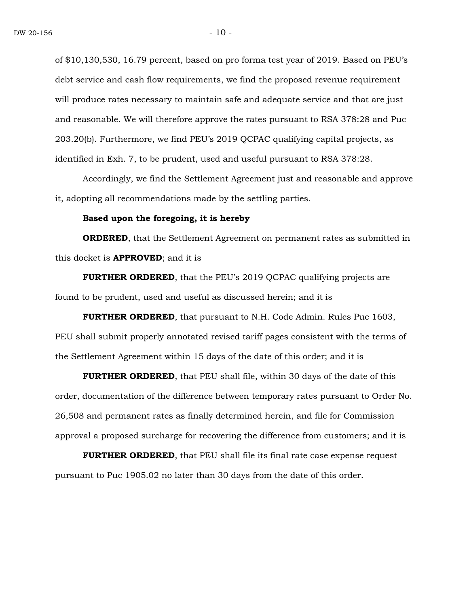of \$10,130,530, 16.79 percent, based on pro forma test year of 2019. Based on PEU's debt service and cash flow requirements, we find the proposed revenue requirement will produce rates necessary to maintain safe and adequate service and that are just and reasonable. We will therefore approve the rates pursuant to RSA 378:28 and Puc 203.20(b). Furthermore, we find PEU's 2019 QCPAC qualifying capital projects, as identified in Exh. 7, to be prudent, used and useful pursuant to RSA 378:28.

Accordingly, we find the Settlement Agreement just and reasonable and approve it, adopting all recommendations made by the settling parties.

#### **Based upon the foregoing, it is hereby**

**ORDERED**, that the Settlement Agreement on permanent rates as submitted in this docket is **APPROVED**; and it is

**FURTHER ORDERED**, that the PEU's 2019 QCPAC qualifying projects are found to be prudent, used and useful as discussed herein; and it is

**FURTHER ORDERED**, that pursuant to N.H. Code Admin. Rules Puc 1603, PEU shall submit properly annotated revised tariff pages consistent with the terms of the Settlement Agreement within 15 days of the date of this order; and it is

**FURTHER ORDERED**, that PEU shall file, within 30 days of the date of this order, documentation of the difference between temporary rates pursuant to Order No. 26,508 and permanent rates as finally determined herein, and file for Commission approval a proposed surcharge for recovering the difference from customers; and it is

**FURTHER ORDERED**, that PEU shall file its final rate case expense request pursuant to Puc 1905.02 no later than 30 days from the date of this order.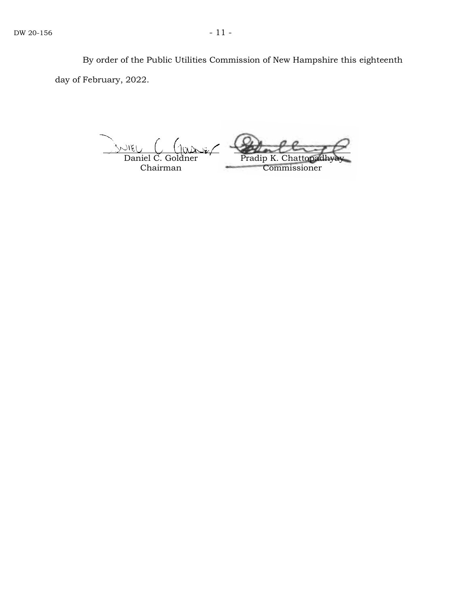By order of the Public Utilities Commission of New Hampshire this eighteenth day of February, 2022.

Daniel C. Goldner Chairman Pradip K. Chatto Commissioner